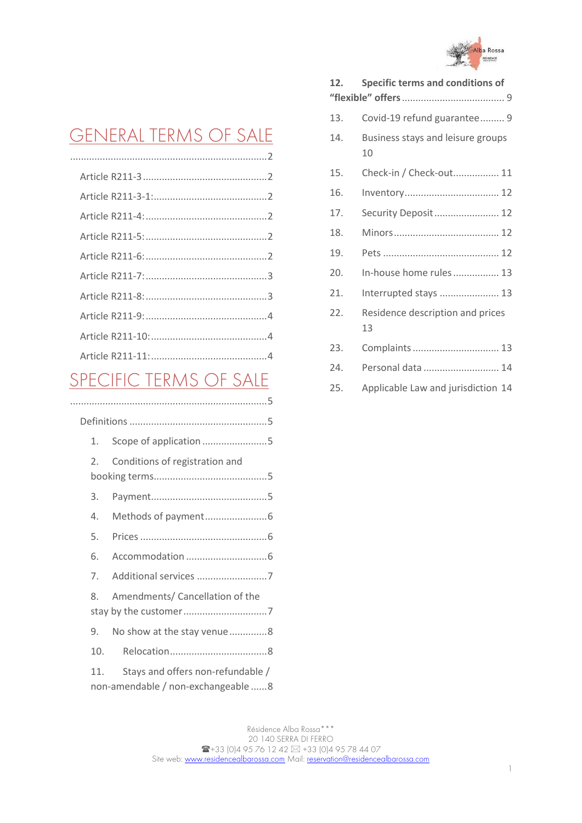

# [GENERAL TERMS OF SALE](#page-1-0)

## [SPECIFIC TERMS OF SALE](#page-4-0)

| 1.             | Scope of application 5                                                  |  |
|----------------|-------------------------------------------------------------------------|--|
| $\mathfrak{D}$ | Conditions of registration and                                          |  |
| 3.             |                                                                         |  |
| 4.             |                                                                         |  |
| 5.             |                                                                         |  |
| 6.             |                                                                         |  |
| 7 <sup>1</sup> | Additional services 7                                                   |  |
| 8.             | Amendments/ Cancellation of the                                         |  |
| 9.             | No show at the stay venue8                                              |  |
| 10.            |                                                                         |  |
| 11.            | Stays and offers non-refundable /<br>non-amendable / non-exchangeable 8 |  |

|  | 12. | Specific terms and conditions of        |  |  |
|--|-----|-----------------------------------------|--|--|
|  |     |                                         |  |  |
|  | 13. | Covid-19 refund guarantee 9             |  |  |
|  | 14. | Business stays and leisure groups<br>10 |  |  |
|  | 15. | Check-in / Check-out 11                 |  |  |
|  | 16. |                                         |  |  |
|  | 17. | Security Deposit 12                     |  |  |
|  | 18. |                                         |  |  |
|  | 19. |                                         |  |  |
|  | 20. | In-house home rules 13                  |  |  |
|  | 21. | Interrupted stays  13                   |  |  |
|  | 22. | Residence description and prices<br>13  |  |  |
|  | 23. |                                         |  |  |
|  | 24. | Personal data  14                       |  |  |
|  | 25. | Applicable Law and jurisdiction 14      |  |  |
|  |     |                                         |  |  |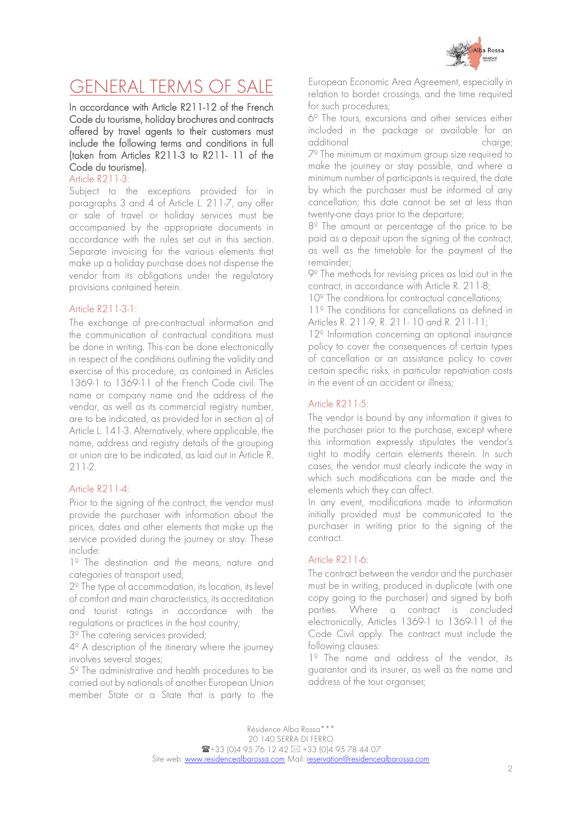

## <span id="page-1-0"></span>GENERAL TERMS OF SALE

In accordance with Article R211-12 of the French Code du tourisme, holiday brochures and contracts offered by travel agents to their customers must include the following terms and conditions in full (taken from Articles R211-3 to R211- 11 of the Code du tourisme).

<span id="page-1-1"></span>Article R211-3:

Subject to the exceptions provided for in paragraphs 3 and 4 of Article L. 211-7, any offer or sale of travel or holiday services must be accompanied by the appropriate documents in accordance with the rules set out in this section. Separate invoicing for the various elements that make up a holiday purchase does not dispense the vendor from its obligations under the regulatory provisions contained herein.

#### <span id="page-1-2"></span>Article R211-3-1:

The exchange of pre-contractual information and the communication of contractual conditions must be done in writing. This can be done electronically in respect of the conditions outlining the validity and exercise of this procedure, as contained in Articles 1369-1 to 1369-11 of the French Code civil. The name or company name and the address of the vendor, as well as its commercial registry number, are to be indicated, as provided for in section a) of Article L. 141-3. Alternatively, where applicable, the name, address and registry details of the grouping or union are to be indicated, as laid out in Article R. 211-2.

## <span id="page-1-3"></span>Article R211-4:

Prior to the signing of the contract, the vendor must provide the purchaser with information about the prices, dates and other elements that make up the service provided during the journey or stay. These include:

1<sup>º</sup> The destination and the means, nature and categories of transport used;

2º The type of accommodation, its location, its level of comfort and main characteristics, its accreditation and tourist ratings in accordance with the regulations or practices in the host country;

3º The catering services provided;

4º A description of the itinerary where the journey involves several stages;

5º The administrative and health procedures to be carried out by nationals of another European Union member State or a State that is party to the

European Economic Area Agreement, especially in relation to border crossings, and the time required for such procedures;

6º The tours, excursions and other services either included in the package or available for an additional charge; 7º The minimum or maximum group size required to make the journey or stay possible, and where a minimum number of participants is required, the date by which the purchaser must be informed of any cancellation; this date cannot be set at less than twenty-one days prior to the departure;

8º The amount or percentage of the price to be paid as a deposit upon the signing of the contract, as well as the timetable for the payment of the remainder;

9º The methods for revising prices as laid out in the contract, in accordance with Article R. 211-8;

10<sup>°</sup> The conditions for contractual cancellations:

11º The conditions for cancellations as defined in Articles R. 211-9, R. 211- 10 and R. 211-11;

12º Information concerning an optional insurance policy to cover the consequences of certain types of cancellation or an assistance policy to cover certain specific risks, in particular repatriation costs in the event of an accident or illness;

#### <span id="page-1-4"></span>Article R211-5:

The vendor is bound by any information it gives to the purchaser prior to the purchase, except where this information expressly stipulates the vendor's right to modify certain elements therein. In such cases, the vendor must clearly indicate the way in which such modifications can be made and the elements which they can affect.

In any event, modifications made to information initially provided must be communicated to the purchaser in writing prior to the signing of the contract.

#### <span id="page-1-5"></span>Article R211-6:

The contract between the vendor and the purchaser must be in writing, produced in duplicate (with one copy going to the purchaser) and signed by both parties. Where a contract is concluded electronically, Articles 1369-1 to 1369-11 of the Code Civil apply. The contract must include the following clauses:

1<sup>º</sup> The name and address of the vendor, its guarantor and its insurer, as well as the name and address of the tour organiser;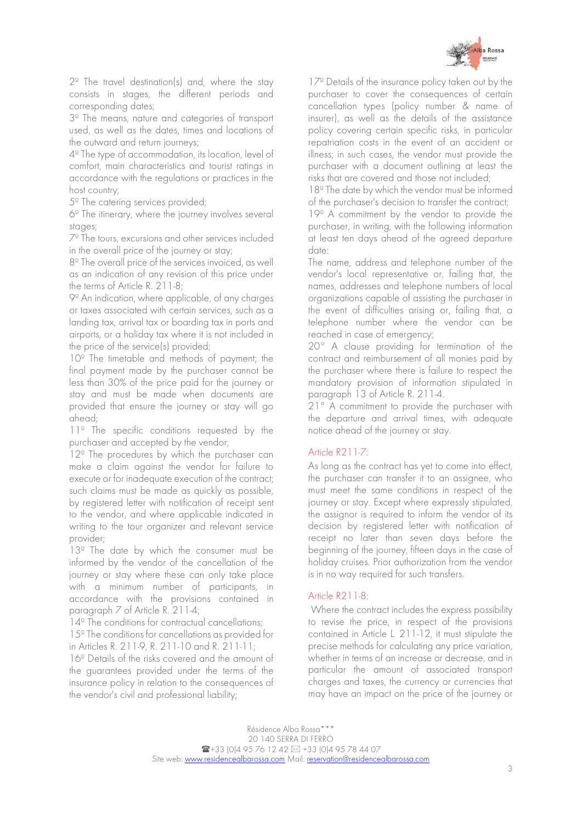

2º The travel destination(s) and, where the stay consists in stages, the different periods and corresponding dates;

3º The means, nature and categories of transport used, as well as the dates, times and locations of the outward and return journeys;

4º The type of accommodation, its location, level of comfort, main characteristics and tourist ratings in accordance with the regulations or practices in the host country;

5º The catering services provided;

6º The itinerary, where the journey involves several stages;

7º The tours, excursions and other services included in the overall price of the journey or stay;

8º The overall price of the services invoiced, as well as an indication of any revision of this price under the terms of Article R. 211-8;

9º An indication, where applicable, of any charges or taxes associated with certain services, such as a landing tax, arrival tax or boarding tax in ports and airports, or a holiday tax where it is not included in the price of the service(s) provided;

10<sup>°</sup> The timetable and methods of payment; the final payment made by the purchaser cannot be less than 30% of the price paid for the journey or stay and must be made when documents are provided that ensure the journey or stay will go ahead;

1<sup>1</sup> The specific conditions requested by the purchaser and accepted by the vendor;

12<sup>°</sup> The procedures by which the purchaser can make a claim against the vendor for failure to execute or for inadequate execution of the contract; such claims must be made as quickly as possible, by registered letter with notification of receipt sent to the vendor, and where applicable indicated in writing to the tour organizer and relevant service provider;

13<sup>º</sup> The date by which the consumer must be informed by the vendor of the cancellation of the journey or stay where these can only take place with a minimum number of participants, in accordance with the provisions contained in paragraph 7 of Article R. 211-4;

14<sup>°</sup> The conditions for contractual cancellations;

15º The conditions for cancellations as provided for in Articles R. 211-9, R. 211-10 and R. 211-11;

16º Details of the risks covered and the amount of the guarantees provided under the terms of the insurance policy in relation to the consequences of the vendor's civil and professional liability;

17<sup>°</sup> Details of the insurance policy taken out by the purchaser to cover the consequences of certain cancellation types (policy number & name of insurer), as well as the details of the assistance policy covering certain specific risks, in particular repatriation costs in the event of an accident or illness; in such cases, the vendor must provide the purchaser with a document outlining at least the risks that are covered and those not included;

18<sup>°</sup> The date by which the vendor must be informed of the purchaser's decision to transfer the contract;

19º A commitment by the vendor to provide the purchaser, in writing, with the following information at least ten days ahead of the agreed departure date:

The name, address and telephone number of the vendor's local representative or, failing that, the names, addresses and telephone numbers of local organizations capable of assisting the purchaser in the event of difficulties arising or, failing that, a telephone number where the vendor can be reached in case of emergency;

20° A clause providing for termination of the contract and reimbursement of all monies paid by the purchaser where there is failure to respect the mandatory provision of information stipulated in paragraph 13 of Article R. 211-4.

21° A commitment to provide the purchaser with the departure and arrival times, with adequate notice ahead of the journey or stay.

## <span id="page-2-0"></span>Article R211-7:

As long as the contract has yet to come into effect, the purchaser can transfer it to an assignee, who must meet the same conditions in respect of the journey or stay. Except where expressly stipulated, the assignor is required to inform the vendor of its decision by registered letter with notification of receipt no later than seven days before the beginning of the journey, fifteen days in the case of holiday cruises. Prior authorization from the vendor is in no way required for such transfers.

#### <span id="page-2-1"></span>Article R211-8:

 Where the contract includes the express possibility to revise the price, in respect of the provisions contained in Article L. 211-12, it must stipulate the precise methods for calculating any price variation, whether in terms of an increase or decrease, and in particular the amount of associated transport charges and taxes, the currency or currencies that may have an impact on the price of the journey or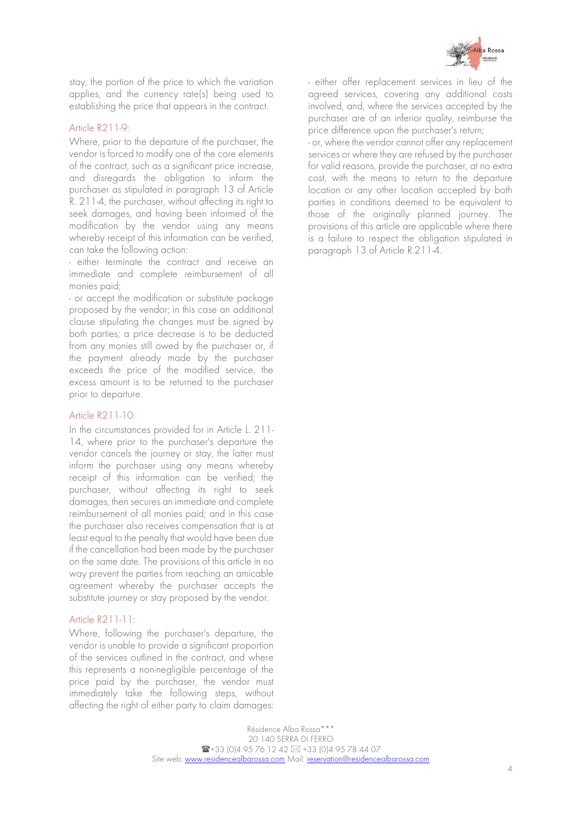

stay, the portion of the price to which the variation applies, and the currency rate(s) being used to establishing the price that appears in the contract.

#### <span id="page-3-0"></span>Article R211-9:

Where, prior to the departure of the purchaser, the vendor is forced to modify one of the core elements of the contract, such as a significant price increase, and disregards the obligation to inform the purchaser as stipulated in paragraph 13 of Article R. 211-4, the purchaser, without affecting its right to seek damages, and having been informed of the modification by the vendor using any means whereby receipt of this information can be verified, can take the following action:

- either terminate the contract and receive an immediate and complete reimbursement of all monies paid;

- or accept the modification or substitute package proposed by the vendor; in this case an additional clause stipulating the changes must be signed by both parties; a price decrease is to be deducted from any monies still owed by the purchaser or, if the payment already made by the purchaser exceeds the price of the modified service, the excess amount is to be returned to the purchaser prior to departure.

#### <span id="page-3-1"></span>Article R211-10:

In the circumstances provided for in Article L. 211- 14, where prior to the purchaser's departure the vendor cancels the journey or stay, the latter must inform the purchaser using any means whereby receipt of this information can be verified; the purchaser, without affecting its right to seek damages, then secures an immediate and complete reimbursement of all monies paid; and in this case the purchaser also receives compensation that is at least equal to the penalty that would have been due if the cancellation had been made by the purchaser on the same date. The provisions of this article in no way prevent the parties from reaching an amicable agreement whereby the purchaser accepts the substitute journey or stay proposed by the vendor.

#### <span id="page-3-2"></span>Article R211-11:

Where, following the purchaser's departure, the vendor is unable to provide a significant proportion of the services outlined in the contract, and where this represents a non-negligible percentage of the price paid by the purchaser, the vendor must immediately take the following steps, without affecting the right of either party to claim damages: - either offer replacement services in lieu of the agreed services, covering any additional costs involved, and, where the services accepted by the purchaser are of an inferior quality, reimburse the price difference upon the purchaser's return;

- or, where the vendor cannot offer any replacement services or where they are refused by the purchaser for valid reasons, provide the purchaser, at no extra cost, with the means to return to the departure location or any other location accepted by both parties in conditions deemed to be equivalent to those of the originally planned journey. The provisions of this article are applicable where there is a failure to respect the obligation stipulated in paragraph 13 of Article R.211-4.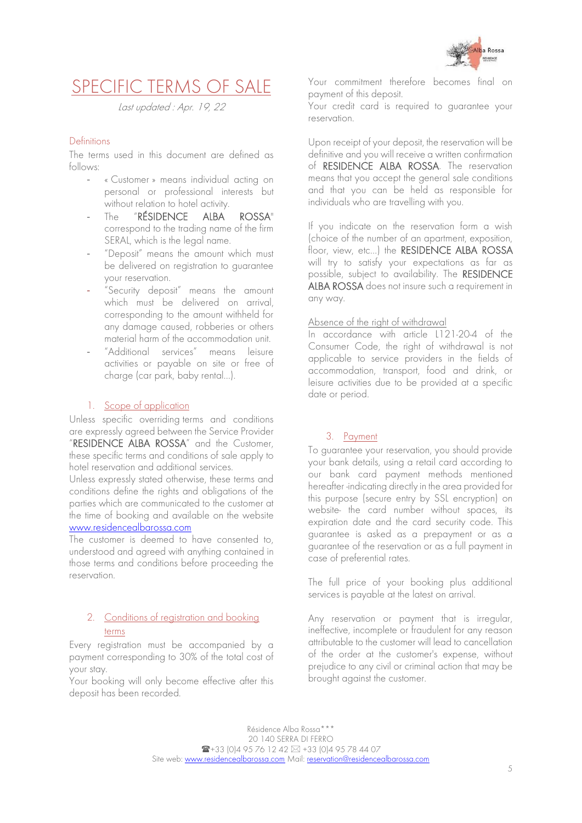

## <span id="page-4-0"></span>SPECIFIC TERMS OF SALE

Last updated : Apr. 19, 22

## <span id="page-4-1"></span>Definitions

The terms used in this document are defined as follows:

- « Customer » means individual acting on personal or professional interests but without relation to hotel activity.
- The "RÉSIDENCE ALBA ROSSA" correspond to the trading name of the firm SERAL, which is the legal name.
- "Deposit" means the amount which must be delivered on registration to guarantee your reservation.
- "Security deposit" means the amount which must be delivered on arrival, corresponding to the amount withheld for any damage caused, robberies or others material harm of the accommodation unit.
- "Additional services" means leisure activities or payable on site or free of charge (car park, baby rental…).

## 1. Scope of application

<span id="page-4-2"></span>Unless specific overriding terms and conditions are expressly agreed between the Service Provider "RESIDENCE ALBA ROSSA" and the Customer, these specific terms and conditions of sale apply to hotel reservation and additional services.

Unless expressly stated otherwise, these terms and conditions define the rights and obligations of the parties which are communicated to the customer at the time of booking and available on the website [www.residencealbarossa.com](http://www.residencealbarossa.com/)

The customer is deemed to have consented to, understood and agreed with anything contained in those terms and conditions before proceeding the reservation.

## <span id="page-4-3"></span>2. Conditions of registration and booking terms

Every registration must be accompanied by a payment corresponding to 30% of the total cost of your stay.

Your booking will only become effective after this deposit has been recorded.

Your commitment therefore becomes final on payment of this deposit.

Your credit card is required to guarantee your reservation.

Upon receipt of your deposit, the reservation will be definitive and you will receive a written confirmation of RESIDENCE ALBA ROSSA. The reservation means that you accept the general sale conditions and that you can be held as responsible for individuals who are travelling with you.

If you indicate on the reservation form a wish (choice of the number of an apartment, exposition, floor, view, etc…) the RESIDENCE ALBA ROSSA will try to satisfy your expectations as far as possible, subject to availability. The RESIDENCE ALBA ROSSA does not insure such a requirement in any way.

#### Absence of the right of withdrawal

In accordance with article L121-20-4 of the Consumer Code, the right of withdrawal is not applicable to service providers in the fields of accommodation, transport, food and drink, or leisure activities due to be provided at a specific date or period.

## <span id="page-4-4"></span>3. Payment

To guarantee your reservation, you should provide your bank details, using a retail card according to our bank card payment methods mentioned hereafter -indicating directly in the area provided for this purpose (secure entry by SSL encryption) on website- the card number without spaces, its expiration date and the card security code. This guarantee is asked as a prepayment or as a guarantee of the reservation or as a full payment in case of preferential rates.

The full price of your booking plus additional services is payable at the latest on arrival.

Any reservation or payment that is irregular, ineffective, incomplete or fraudulent for any reason attributable to the customer will lead to cancellation of the order at the customer's expense, without prejudice to any civil or criminal action that may be brought against the customer.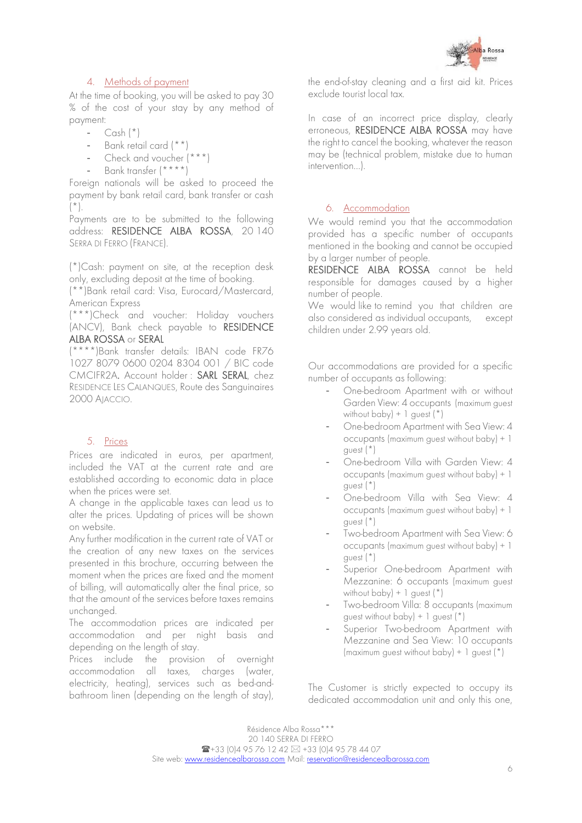

## 4. Methods of payment

<span id="page-5-0"></span>At the time of booking, you will be asked to pay 30 % of the cost of your stay by any method of payment:

- Cash  $(*)$
- Bank retail card (\*\*)
- Check and voucher (\*\*\*)
- Bank transfer (\*\*\*\*)

Foreign nationals will be asked to proceed the payment by bank retail card, bank transfer or cash  $(\star)$ .

Payments are to be submitted to the following address: RESIDENCE ALBA ROSSA, 20 140 SERRA DI FERRO (FRANCE).

(\*)Cash: payment on site, at the reception desk only, excluding deposit at the time of booking.

(\*\*)Bank retail card: Visa, Eurocard/Mastercard, American Express

(\*\*\*)Check and voucher: Holiday vouchers (ANCV), Bank check payable to RESIDENCE ALBA ROSSA or SERAL

(\*\*\*\*)Bank transfer details: IBAN code FR76 1027 8079 0600 0204 8304 001 / BIC code CMCIFR2A. Account holder : SARL SERAL, chez RESIDENCE LES CALANQUES, Route des Sanguinaires 2000 AJACCIO.

#### 5. Prices

<span id="page-5-1"></span>Prices are indicated in euros, per apartment, included the VAT at the current rate and are established according to economic data in place when the prices were set.

A change in the applicable taxes can lead us to alter the prices. Updating of prices will be shown on website.

Any further modification in the current rate of VAT or the creation of any new taxes on the services presented in this brochure, occurring between the moment when the prices are fixed and the moment of billing, will automatically alter the final price, so that the amount of the services before taxes remains unchanged.

The accommodation prices are indicated per accommodation and per night basis and depending on the length of stay.

Prices include the provision of overnight accommodation all taxes, charges (water, electricity, heating), services such as bed-andbathroom linen (depending on the length of stay),

the end-of-stay cleaning and a first aid kit. Prices exclude tourist local tax.

In case of an incorrect price display, clearly erroneous, RESIDENCE ALBA ROSSA may have the right to cancel the booking, whatever the reason may be (technical problem, mistake due to human intervention…).

## 6. Accommodation

<span id="page-5-2"></span>We would remind you that the accommodation provided has a specific number of occupants mentioned in the booking and cannot be occupied by a larger number of people.

RESIDENCE ALBA ROSSA cannot be held responsible for damages caused by a higher number of people.

We would like to remind you that children are also considered as individual occupants, except children under 2.99 years old.

Our accommodations are provided for a specific number of occupants as following:

- One-bedroom Apartment with or without Garden View: 4 occupants (maximum guest without  $\text{baby}$ ) + 1 guest  $(*)$
- One-bedroom Apartment with Sea View: 4 occupants (maximum guest without baby) + 1 guest (\*)
- One-bedroom Villa with Garden View: 4 occupants (maximum guest without baby) + 1 guest (\*)
- One-bedroom Villa with Sea View: 4 occupants (maximum guest without baby) + 1 guest (\*)
- Two-bedroom Apartment with Sea View: 6 occupants (maximum guest without baby) + 1 guest (\*)
- Superior One-bedroom Apartment with Mezzanine: 6 occupants (maximum guest without baby) + 1 guest (\*)
- Two-bedroom Villa: 8 occupants (maximum guest without baby) + 1 guest  $(*)$
- Superior Two-bedroom Apartment with Mezzanine and Sea View: 10 occupants (maximum guest without baby) + 1 guest  $(*)$

The Customer is strictly expected to occupy its dedicated accommodation unit and only this one,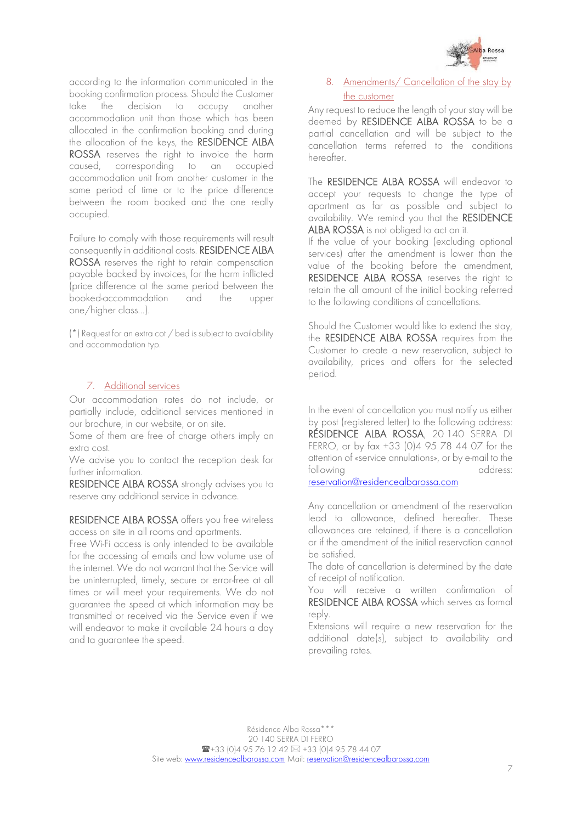

according to the information communicated in the booking confirmation process. Should the Customer take the decision to occupy another accommodation unit than those which has been allocated in the confirmation booking and during the allocation of the keys, the RESIDENCE ALBA ROSSA reserves the right to invoice the harm caused, corresponding to an occupied accommodation unit from another customer in the same period of time or to the price difference between the room booked and the one really occupied.

Failure to comply with those requirements will result consequently in additional costs. RESIDENCE ALBA ROSSA reserves the right to retain compensation payable backed by invoices, for the harm inflicted (price difference at the same period between the booked-accommodation and the upper one/higher class…).

(\*) Request for an extra cot / bed is subject to availability and accommodation typ.

#### 7. Additional services

<span id="page-6-0"></span>Our accommodation rates do not include, or partially include, additional services mentioned in our brochure, in our website, or on site.

Some of them are free of charge others imply an extra cost.

We advise you to contact the reception desk for further information.

RESIDENCE ALBA ROSSA strongly advises you to reserve any additional service in advance.

RESIDENCE ALBA ROSSA offers you free wireless access on site in all rooms and apartments.

Free Wi-Fi access is only intended to be available for the accessing of emails and low volume use of the internet. We do not warrant that the Service will be uninterrupted, timely, secure or error-free at all times or will meet your requirements. We do not guarantee the speed at which information may be transmitted or received via the Service even if we will endeavor to make it available 24 hours a day and ta guarantee the speed.

### <span id="page-6-1"></span>8. Amendments/ Cancellation of the stay by the customer

Any request to reduce the length of your stay will be deemed by RESIDENCE ALBA ROSSA to be a partial cancellation and will be subject to the cancellation terms referred to the conditions hereafter.

The RESIDENCE ALBA ROSSA will endeavor to accept your requests to change the type of apartment as far as possible and subject to availability. We remind you that the RESIDENCE ALBA ROSSA is not obliged to act on it.

If the value of your booking (excluding optional services) after the amendment is lower than the value of the booking before the amendment, RESIDENCE ALBA ROSSA reserves the right to retain the all amount of the initial booking referred to the following conditions of cancellations.

Should the Customer would like to extend the stay, the RESIDENCE ALBA ROSSA requires from the Customer to create a new reservation, subject to availability, prices and offers for the selected period.

In the event of cancellation you must notify us either by post (registered letter) to the following address: RÉSIDENCE ALBA ROSSA, 20 140 SERRA DI FERRO, or by fax +33 (0)4 95 78 44 07 for the attention of «service annulations», or by e-mail to the following address: reservation@residencealbarossa.com

Any cancellation or amendment of the reservation lead to allowance, defined hereafter. These allowances are retained, if there is a cancellation or if the amendment of the initial reservation cannot be satisfied.

The date of cancellation is determined by the date of receipt of notification.

You will receive a written confirmation of RESIDENCE ALBA ROSSA which serves as formal reply.

Extensions will require a new reservation for the additional date(s), subject to availability and prevailing rates.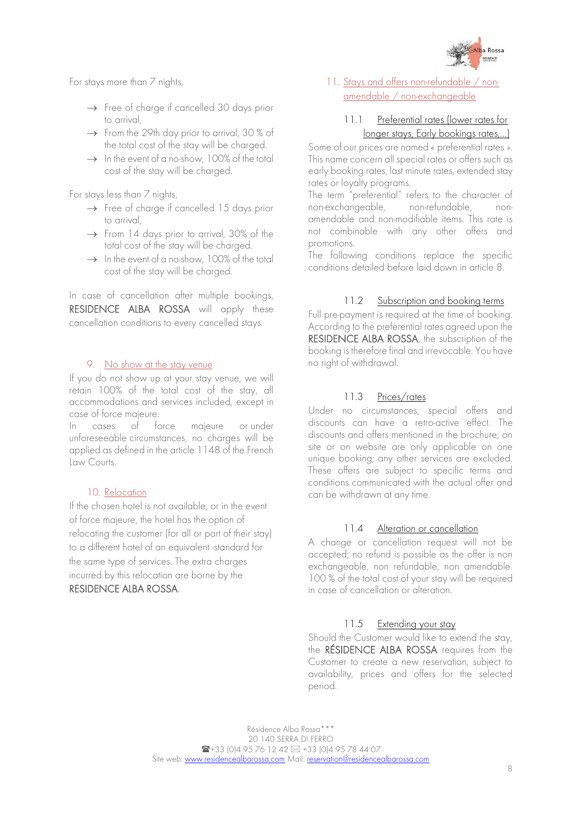

For stays more than 7 nights,

- $\rightarrow$  Free of charge if cancelled 30 days prior to arrival,
- $\rightarrow$  From the 29th day prior to arrival, 30 % of the total cost of the stay will be charged.
- $\rightarrow$  In the event of a no-show, 100% of the total cost of the stay will be charged.

For stays less than 7 nights,

- $\rightarrow$  Free of charge if cancelled 15 days prior to arrival,
- $\rightarrow$  From 14 days prior to arrival, 30% of the total cost of the stay will be charged.
- $\rightarrow$  In the event of a no-show, 100% of the total cost of the stay will be charged.

In case of cancellation after multiple bookings, RESIDENCE ALBA ROSSA will apply these cancellation conditions to every cancelled stays.

#### 9. No show at the stay venue

<span id="page-7-0"></span>If you do not show up at your stay venue, we will retain 100% of the total cost of the stay, all accommodations and services included, except in case of force majeure.

In cases of force majeure or under unforeseeable circumstances, no charges will be applied as defined in the article 1148 of the French Law Courts.

## 10. Relocation

<span id="page-7-1"></span>If the chosen hotel is not available, or in the event of force majeure, the hotel has the option of relocating the customer (for all or part of their stay) to a different hotel of an equivalent -standard for the same type of services. The extra charges incurred by this relocation are borne by the RESIDENCE ALBA ROSSA.

## <span id="page-7-2"></span>11. Stays and offers non-refundable / nonamendable / non-exchangeable

## 11.1 Preferential rates (lower rates for longer stays, Early bookings rates,…)

Some of our prices are named « preferential rates ». This name concern all special rates or offers such as early booking rates, last minute rates, extended stay rates or loyalty programs.

The term "preferential" refers to the character of non-exchangeable, non-refundable, nonamendable and non-modifiable items. This rate is not combinable with any other offers and promotions.

The following conditions replace the specific conditions detailed before laid down in article 8.

## 11.2 Subscription and booking terms

Full pre-payment is required at the time of booking. According to the preferential rates agreed upon the RESIDENCE ALBA ROSSA, the subscription of the booking is therefore final and irrevocable. You have no right of withdrawal.

## 11.3 Prices/rates

Under no circumstances, special offers and discounts can have a retro-active effect. The discounts and offers mentioned in the brochure, on site or on website are only applicable on one unique booking; any other services are excluded. These offers are subject to specific terms and conditions communicated with the actual offer and can be withdrawn at any time.

#### 11.4 Alteration or cancellation

A change or cancellation request will not be accepted; no refund is possible as the offer is non exchangeable, non refundable, non amendable. 100 % of the total cost of your stay will be required in case of cancellation or alteration.

#### 11.5 Extending your stay

Should the Customer would like to extend the stay, the RÉSIDENCE ALBA ROSSA requires from the Customer to create a new reservation, subject to availability, prices and offers for the selected period.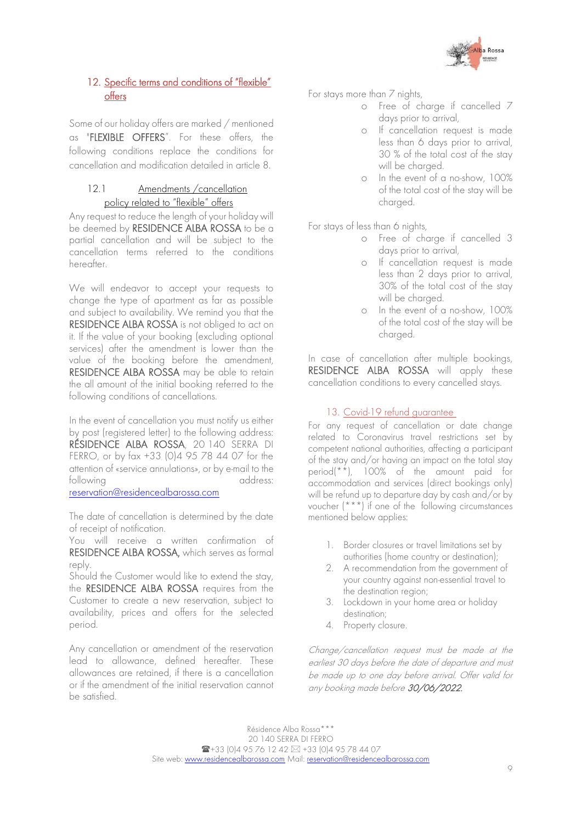

## <span id="page-8-0"></span>12. Specific terms and conditions of "flexible" offers

Some of our holiday offers are marked / mentioned as "FLEXIBLE OFFERS". For these offers, the following conditions replace the conditions for cancellation and modification detailed in article 8.

## 12.1 Amendments / cancellation policy related to "flexible" offers

Any request to reduce the length of your holiday will be deemed by RESIDENCE ALBA ROSSA to be a partial cancellation and will be subject to the cancellation terms referred to the conditions hereafter.

We will endeavor to accept your requests to change the type of apartment as far as possible and subject to availability. We remind you that the RESIDENCE ALBA ROSSA is not obliged to act on it. If the value of your booking (excluding optional services) after the amendment is lower than the value of the booking before the amendment, RESIDENCE ALBA ROSSA may be able to retain the all amount of the initial booking referred to the following conditions of cancellations.

In the event of cancellation you must notify us either by post (registered letter) to the following address: RÉSIDENCE ALBA ROSSA, 20 140 SERRA DI FERRO, or by fax +33 (0)4 95 78 44 07 for the attention of «service annulations», or by e-mail to the following address:

reservation@residencealbarossa.com

The date of cancellation is determined by the date of receipt of notification.

You will receive a written confirmation of RESIDENCE ALBA ROSSA, which serves as formal reply.

Should the Customer would like to extend the stay, the RESIDENCE ALBA ROSSA requires from the Customer to create a new reservation, subject to availability, prices and offers for the selected period.

Any cancellation or amendment of the reservation lead to allowance, defined hereafter. These allowances are retained, if there is a cancellation or if the amendment of the initial reservation cannot be satisfied.

For stays more than 7 nights,

- o Free of charge if cancelled 7 days prior to arrival,
- o If cancellation request is made less than 6 days prior to arrival, 30 % of the total cost of the stay will be charged.
- o In the event of a no-show, 100% of the total cost of the stay will be charged.

For stays of less than 6 nights,

- o Free of charge if cancelled 3 days prior to arrival,
- o If cancellation request is made less than 2 days prior to arrival, 30% of the total cost of the stay will be charged.
- o In the event of a no-show, 100% of the total cost of the stay will be charged.

In case of cancellation after multiple bookings, RESIDENCE ALBA ROSSA will apply these cancellation conditions to every cancelled stays.

### 13. Covid-19 refund guarantee

<span id="page-8-1"></span>For any request of cancellation or date change related to Coronavirus travel restrictions set by competent national authorities, affecting a participant of the stay and/or having an impact on the total stay period(\*\*), 100% of the amount paid for accommodation and services (direct bookings only) will be refund up to departure day by cash and/or by voucher (\*\*\*) if one of the following circumstances mentioned below applies:

- 1. Border closures or travel limitations set by authorities (home country or destination);
- 2. A recommendation from the government of your country against non-essential travel to the destination region;
- 3. Lockdown in your home area or holiday destination;
- 4. Property closure.

Change/cancellation request must be made at the earliest 30 days before the date of departure and must be made up to one day before arrival. Offer valid for any booking made before 30/06/2022.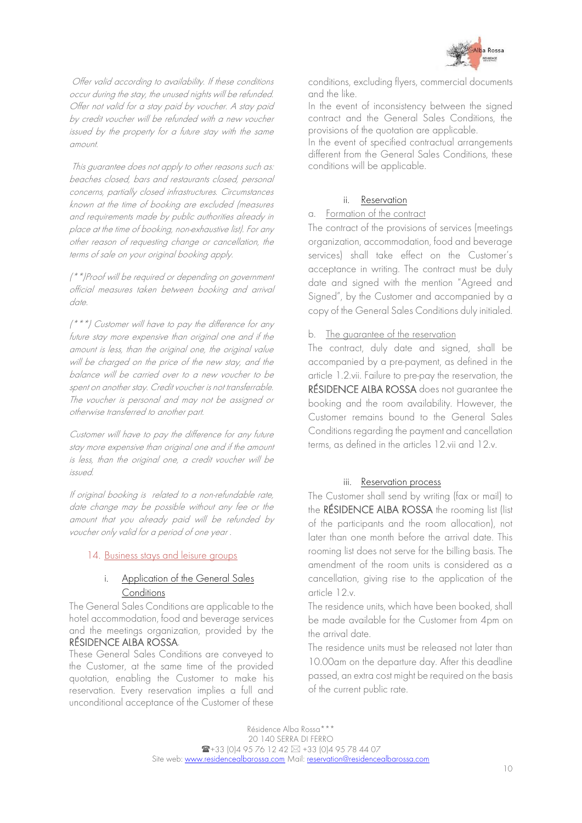

Offer valid according to availability. If these conditions occur during the stay, the unused nights will be refunded. Offer not valid for a stay paid by voucher. A stay paid by credit voucher will be refunded with a new voucher issued by the property for a future stay with the same amount.

This guarantee does not apply to other reasons such as: beaches closed, bars and restaurants closed, personal concerns, partially closed infrastructures. Circumstances known at the time of booking are excluded (measures and requirements made by public authorities already in place at the time of booking, non-exhaustive list). For any other reason of requesting change or cancellation, the terms of sale on your original booking apply.

(\*\*)Proof will be required or depending on government official measures taken between booking and arrival date.

(\*\*\*) Customer will have to pay the difference for any future stay more expensive than original one and if the amount is less, than the original one, the original value will be charged on the price of the new stay, and the balance will be carried over to a new voucher to be spent on another stay. Credit voucher is not transferrable. The voucher is personal and may not be assigned or otherwise transferred to another part.

Customer will have to pay the difference for any future stay more expensive than original one and if the amount is less, than the original one, a credit voucher will be issued.

If original booking is related to a non-refundable rate, date change may be possible without any fee or the amount that you already paid will be refunded by voucher only valid for a period of one year .

#### <span id="page-9-0"></span>14. Business stays and leisure groups

#### i. Application of the General Sales **Conditions**

The General Sales Conditions are applicable to the hotel accommodation, food and beverage services and the meetings organization, provided by the RÉSIDENCE ALBA ROSSA.

These General Sales Conditions are conveyed to the Customer, at the same time of the provided quotation, enabling the Customer to make his reservation. Every reservation implies a full and unconditional acceptance of the Customer of these

conditions, excluding flyers, commercial documents and the like.

In the event of inconsistency between the signed contract and the General Sales Conditions, the provisions of the quotation are applicable.

In the event of specified contractual arrangements different from the General Sales Conditions, these conditions will be applicable.

#### ii. Reservation

## a. Formation of the contract

The contract of the provisions of services (meetings organization, accommodation, food and beverage services) shall take effect on the Customer's acceptance in writing. The contract must be duly date and signed with the mention "Agreed and Signed", by the Customer and accompanied by a copy of the General Sales Conditions duly initialed.

#### b. The guarantee of the reservation

The contract, duly date and signed, shall be accompanied by a pre-payment, as defined in the article 1.2.vii. Failure to pre-pay the reservation, the RÉSIDENCE ALBA ROSSA does not guarantee the booking and the room availability. However, the Customer remains bound to the General Sales Conditions regarding the payment and cancellation terms, as defined in the articles 12.vii and 12.v.

#### iii. Reservation process

The Customer shall send by writing (fax or mail) to the RÉSIDENCE ALBA ROSSA the rooming list (list of the participants and the room allocation), not later than one month before the arrival date. This rooming list does not serve for the billing basis. The amendment of the room units is considered as a cancellation, giving rise to the application of the article 12.v.

The residence units, which have been booked, shall be made available for the Customer from 4pm on the arrival date.

The residence units must be released not later than 10.00am on the departure day. After this deadline passed, an extra cost might be required on the basis of the current public rate.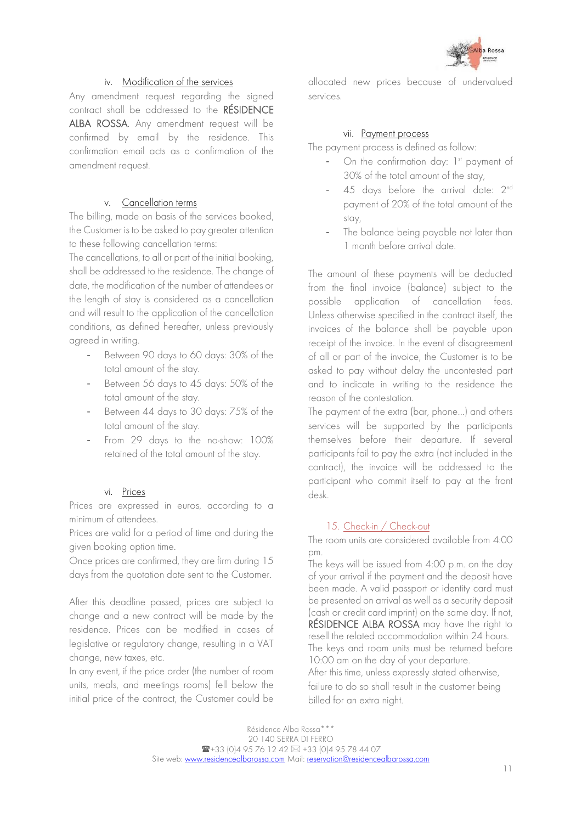

## iv. Modification of the services

Any amendment request regarding the signed contract shall be addressed to the RÉSIDENCE ALBA ROSSA. Any amendment request will be confirmed by email by the residence. This confirmation email acts as a confirmation of the amendment request.

#### v. Cancellation terms

The billing, made on basis of the services booked, the Customer is to be asked to pay greater attention to these following cancellation terms:

The cancellations, to all or part of the initial booking, shall be addressed to the residence. The change of date, the modification of the number of attendees or the length of stay is considered as a cancellation and will result to the application of the cancellation conditions, as defined hereafter, unless previously agreed in writing.

- Between 90 days to 60 days: 30% of the total amount of the stay.
- Between 56 days to 45 days: 50% of the total amount of the stay.
- Between 44 days to 30 days: 75% of the total amount of the stay.
- From 29 days to the no-show: 100% retained of the total amount of the stay.

## vi. Prices

Prices are expressed in euros, according to a minimum of attendees.

Prices are valid for a period of time and during the given booking option time.

Once prices are confirmed, they are firm during 15 days from the quotation date sent to the Customer.

After this deadline passed, prices are subject to change and a new contract will be made by the residence. Prices can be modified in cases of legislative or regulatory change, resulting in a VAT change, new taxes, etc.

In any event, if the price order (the number of room units, meals, and meetings rooms) fell below the initial price of the contract, the Customer could be

allocated new prices because of undervalued services.

#### vii. Payment process

The payment process is defined as follow:

- On the confirmation day:  $1<sup>st</sup>$  payment of 30% of the total amount of the stay,
- 45 days before the arrival date: 2<sup>nd</sup> payment of 20% of the total amount of the stay,
- The balance being payable not later than 1 month before arrival date.

The amount of these payments will be deducted from the final invoice (balance) subject to the possible application of cancellation fees. Unless otherwise specified in the contract itself, the invoices of the balance shall be payable upon receipt of the invoice. In the event of disagreement of all or part of the invoice, the Customer is to be asked to pay without delay the uncontested part and to indicate in writing to the residence the reason of the contestation.

The payment of the extra (bar, phone…) and others services will be supported by the participants themselves before their departure. If several participants fail to pay the extra (not included in the contract), the invoice will be addressed to the participant who commit itself to pay at the front desk.

#### 15. Check-in / Check-out

<span id="page-10-0"></span>The room units are considered available from 4:00 pm.

The keys will be issued from 4:00 p.m. on the day of your arrival if the payment and the deposit have been made. A valid passport or identity card must be presented on arrival as well as a security deposit (cash or credit card imprint) on the same day. If not, RÉSIDENCE ALBA ROSSA may have the right to resell the related accommodation within 24 hours. The keys and room units must be returned before 10:00 am on the day of your departure. After this time, unless expressly stated otherwise,

failure to do so shall result in the customer being billed for an extra night.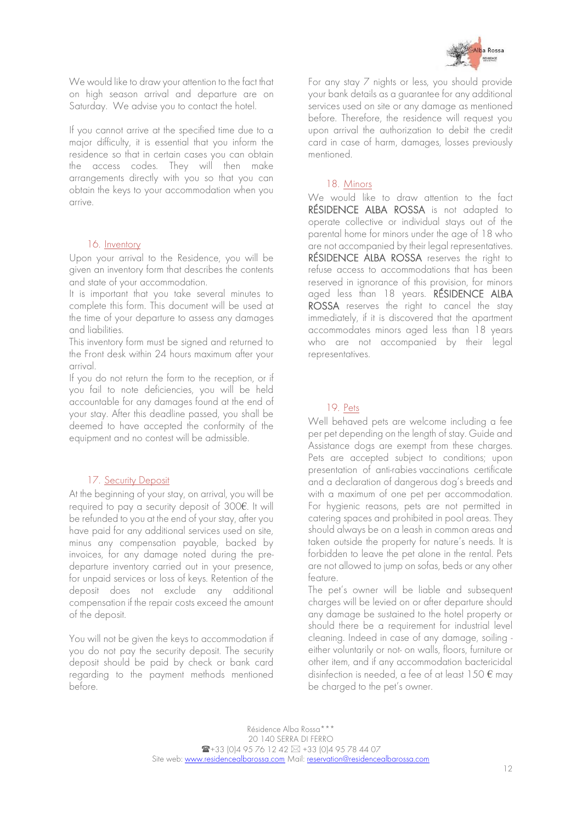

We would like to draw your attention to the fact that on high season arrival and departure are on Saturday. We advise you to contact the hotel.

If you cannot arrive at the specified time due to a major difficulty, it is essential that you inform the residence so that in certain cases you can obtain the access codes. They will then make arrangements directly with you so that you can obtain the keys to your accommodation when you arrive.

#### 16. Inventory

<span id="page-11-0"></span>Upon your arrival to the Residence, you will be given an inventory form that describes the contents and state of your accommodation.

It is important that you take several minutes to complete this form. This document will be used at the time of your departure to assess any damages and liabilities.

This inventory form must be signed and returned to the Front desk within 24 hours maximum after your arrival.

If you do not return the form to the reception, or if you fail to note deficiencies, you will be held accountable for any damages found at the end of your stay. After this deadline passed, you shall be deemed to have accepted the conformity of the equipment and no contest will be admissible.

#### 17. Security Deposit

<span id="page-11-1"></span>At the beginning of your stay, on arrival, you will be required to pay a security deposit of 300€. It will be refunded to you at the end of your stay, after you have paid for any additional services used on site, minus any compensation payable, backed by invoices, for any damage noted during the predeparture inventory carried out in your presence, for unpaid services or loss of keys. Retention of the deposit does not exclude any additional compensation if the repair costs exceed the amount of the deposit.

You will not be given the keys to accommodation if you do not pay the security deposit. The security deposit should be paid by check or bank card regarding to the payment methods mentioned before.

For any stay 7 nights or less, you should provide your bank details as a guarantee for any additional services used on site or any damage as mentioned before. Therefore, the residence will request you upon arrival the authorization to debit the credit card in case of harm, damages, losses previously mentioned.

#### 18. Minors

<span id="page-11-2"></span>We would like to draw attention to the fact RÉSIDENCE ALBA ROSSA is not adapted to operate collective or individual stays out of the parental home for minors under the age of 18 who are not accompanied by their legal representatives. RÉSIDENCE ALBA ROSSA reserves the right to refuse access to accommodations that has been reserved in ignorance of this provision, for minors aged less than 18 years. RÉSIDENCE ALBA ROSSA reserves the right to cancel the stay immediately, if it is discovered that the apartment accommodates minors aged less than 18 years who are not accompanied by their legal representatives.

#### 19. Pets

<span id="page-11-3"></span>Well behaved pets are welcome including a fee per pet depending on the length of stay. Guide and Assistance dogs are exempt from these charges. Pets are accepted subject to conditions; upon presentation of anti-rabies vaccinations certificate and a declaration of dangerous dog's breeds and with a maximum of one pet per accommodation. For hygienic reasons, pets are not permitted in catering spaces and prohibited in pool areas. They should always be on a leash in common areas and taken outside the property for nature's needs. It is forbidden to leave the pet alone in the rental. Pets are not allowed to jump on sofas, beds or any other feature.

The pet's owner will be liable and subsequent charges will be levied on or after departure should any damage be sustained to the hotel property or should there be a requirement for industrial level cleaning. Indeed in case of any damage, soiling either voluntarily or not- on walls, floors, furniture or other item, and if any accommodation bactericidal disinfection is needed, a fee of at least  $150 \text{ } \epsilon$  may be charged to the pet's owner.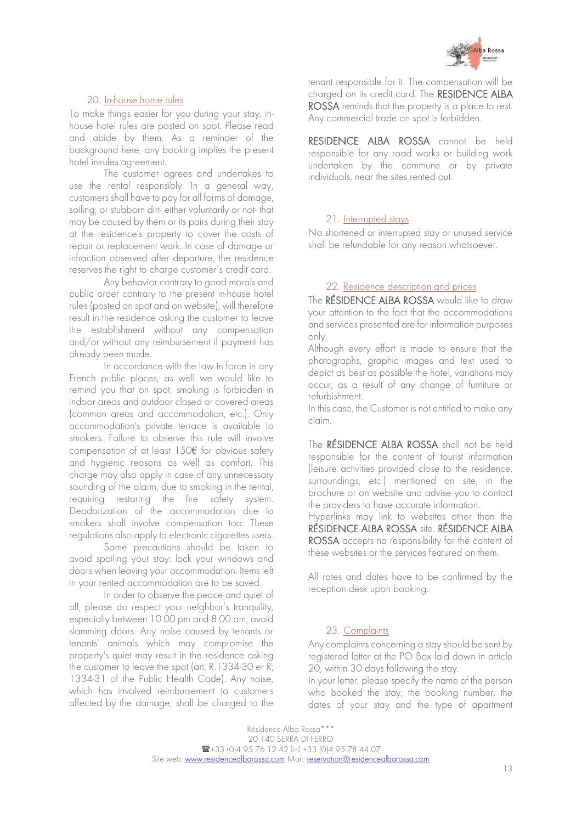

#### tenant responsible for it. The compensation will be charged on its credit card. The RESIDENCE ALBA ROSSA reminds that the property is a place to rest. Any commercial trade on spot is forbidden.

RESIDENCE ALBA ROSSA cannot be held responsible for any road works or building work undertaken by the commune or by private individuals, near the sites rented out.

#### 21. Interrupted stays

<span id="page-12-1"></span>No shortened or interrupted stay or unused service shall be refundable for any reason whatsoever.

#### 22. Residence description and prices

<span id="page-12-2"></span>The RESIDENCE ALBA ROSSA would like to draw your attention to the fact that the accommodations and services presented are for information purposes only.

Although every effort is made to ensure that the photographs, graphic images and text used to depict as best as possible the hotel, variations may occur, as a result of any change of furniture or refurbishment.

In this case, the Customer is not entitled to make any claim.

The RÉSIDENCE ALBA ROSSA shall not be held responsible for the content of tourist information (leisure activities provided close to the residence, surroundings, etc.) mentioned on site, in the brochure or on website and advise you to contact the providers to have accurate information.

Hyperlinks may link to websites other than the RÉSIDENCE ALBA ROSSA site. RÉSIDENCE ALBA ROSSA accepts no responsibility for the content of these websites or the services featured on them.

All rates and dates have to be confirmed by the reception desk upon booking.

## 23. Complaints

<span id="page-12-3"></span>Any complaints concerning a stay should be sent by registered letter at the PO Box laid down in article 20, within 30 days following the stay.

In your letter, please specify the name of the person who booked the stay, the booking number, the dates of your stay and the type of apartment

#### 20. In-house home rules

<span id="page-12-0"></span>To make things easier for you during your stay, inhouse hotel rules are posted on spot. Please read and abide by them. As a reminder of the background here, any booking implies the present hotel in-rules agreement.

The customer agrees and undertakes to use the rental responsibly. In a general way, customers shall have to pay for all forms of damage, soiling, or stubborn dirt- either voluntarily or not- that may be caused by them or its pairs during their stay at the residence's property to cover the costs of repair or replacement work. In case of damage or infraction observed after departure, the residence reserves the right to charge customer's credit card.

Any behavior contrary to good morals and public order contrary to the present in-house hotel rules (posted on spot and on website), will therefore result in the residence asking the customer to leave the establishment without any compensation and/or without any reimbursement if payment has already been made.

In accordance with the law in force in any French public places, as well we would like to remind you that on spot, smoking is forbidden in indoor areas and outdoor closed or covered areas (common areas and accommodation, etc.). Only accommodation's private terrace is available to smokers. Failure to observe this rule will involve compensation of at least 150€ for obvious safety and hygienic reasons as well as comfort. This charge may also apply in case of any unnecessary sounding of the alarm, due to smoking in the rental, requiring restoring the fire safety system. Deodorization of the accommodation due to smokers shall involve compensation too. These regulations also apply to electronic cigarettes users.

Some precautions should be taken to avoid spoiling your stay: lock your windows and doors when leaving your accommodation. Items left in your rented accommodation are to be saved.

In order to observe the peace and quiet of all, please do respect your neighbor's tranquility, especially between 10.00 pm and 8.00 am; avoid slamming doors. Any noise caused by tenants or tenants' animals which may compromise the property's quiet may result in the residence asking the customer to leave the spot (art. R.1334-30 er R; 1334-31 of the Public Health Code). Any noise, which has involved reimbursement to customers affected by the damage, shall be charged to the